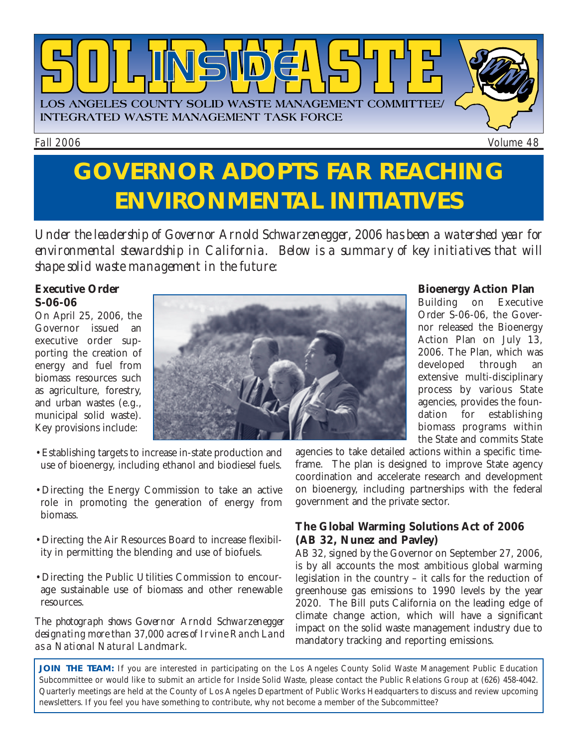

Fall 2006 Volume 48

# **GOVERNOR ADOPTS FAR REACHING ENVIRONMENTAL INITIATIVES**

*Under the leadership of Governor Arnold Schwarzenegger, 2006 has been a watershed year for environmental stewardship in California. Below is a summary of key initiatives that will shape solid waste management in the future:*

#### **Executive Order S-06-06**

On April 25, 2006, the Governor issued an executive order supporting the creation of energy and fuel from biomass resources such as agriculture, forestry, and urban wastes (e.g., municipal solid waste). Key provisions include:



- •Establishing targets to increase in-state production and use of bioenergy, including ethanol and biodiesel fuels.
- •Directing the Energy Commission to take an active role in promoting the generation of energy from biomass.
- •Directing the Air Resources Board to increase flexibility in permitting the blending and use of biofuels.
- •Directing the Public Utilities Commission to encourage sustainable use of biomass and other renewable resources.

*The photograph shows Governor Arnold Schwarzenegger designating more than 37,000 acres of Irvine Ranch Land as a National Natural Landmark.* 

## **Bioenergy Action Plan**<br>Building on Executive

Building on Order S-06-06, the Governor released the Bioenergy Action Plan on July 13, 2006. The Plan, which was developed through an extensive multi-disciplinary process by various State agencies, provides the foundation for establishing biomass programs within the State and commits State

agencies to take detailed actions within a specific timeframe. The plan is designed to improve State agency coordination and accelerate research and development on bioenergy, including partnerships with the federal government and the private sector.

#### **The Global Warming Solutions Act of 2006 (AB 32, Nunez and Pavley)**

AB 32, signed by the Governor on September 27, 2006, is by all accounts the most ambitious global warming legislation in the country – it calls for the reduction of greenhouse gas emissions to 1990 levels by the year 2020. The Bill puts California on the leading edge of climate change action, which will have a significant impact on the solid waste management industry due to mandatory tracking and reporting emissions.

**JOIN THE TEAM:** If you are interested in participating on the Los Angeles County Solid Waste Management Public Education Subcommittee or would like to submit an article for *Inside Solid Waste,* please contact the Public Relations Group at (626) 458-4042. Quarterly meetings are held at the County of Los Angeles Department of Public Works Headquarters to discuss and review upcoming newsletters. If you feel you have something to contribute, why not become a member of the Subcommittee?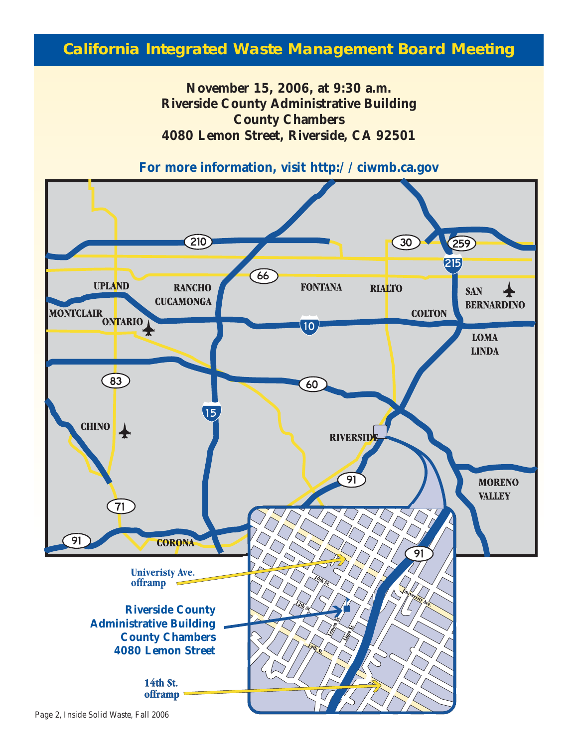#### **California Integrated Waste Management Board Meeting**

**November 15, 2006, at 9:30 a.m. Riverside County Administrative Building County Chambers 4080 Lemon Street, Riverside, CA 92501** 





Page 2, *Inside Solid Waste,* Fall 2006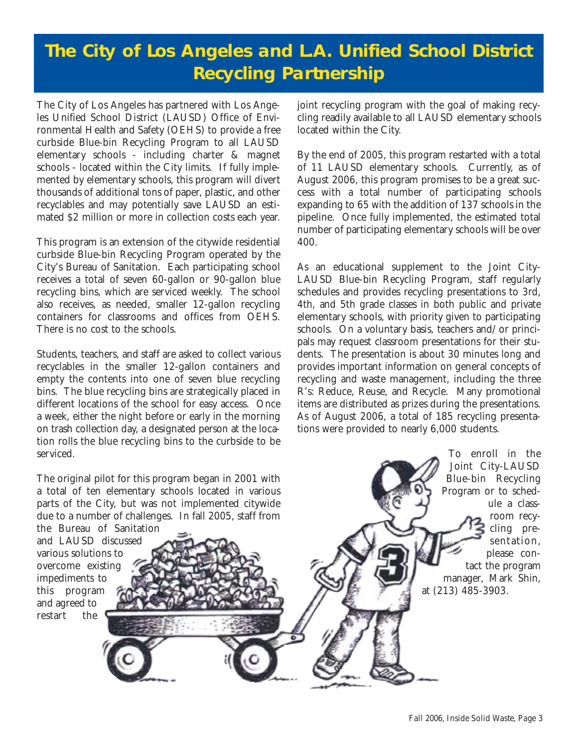### **The City of Los Angeles and L.A. Unified School District Recycling Partnership**

The City of Los Angeles has partnered with Los Angeles Unified School District (LAUSD) Office of Environmental Health and Safety (OEHS) to provide a free curbside Blue-bin Recycling Program to all LAUSD elementary schools - including charter & magnet schools - located within the City limits. If fully implemented by elementary schools, this program will divert thousands of additional tons of paper, plastic, and other recyclables and may potentially save LAUSD an estimated \$2 million or more in collection costs each year.

This program is an extension of the citywide residential curbside Blue-bin Recycling Program operated by the City's Bureau of Sanitation. Each participating school receives a total of seven 60-gallon or 90-gallon blue recycling bins, which are serviced weekly. The school also receives, as needed, smaller 12-gallon recycling containers for classrooms and offices from OEHS. There is no cost to the schools.

Students, teachers, and staff are asked to collect various recyclables in the smaller 12-gallon containers and empty the contents into one of seven blue recycling bins. The blue recycling bins are strategically placed in different locations of the school for easy access. Once a week, either the night before or early in the morning on trash collection day, a designated person at the location rolls the blue recycling bins to the curbside to be serviced.

The original pilot for this program began in 2001 with a total of ten elementary schools located in various parts of the City, but was not implemented citywide due to a number of challenges. In fall 2005, staff from the Bureau of Sanitation

and LAUSD discussed various solutions to overcome existing impediments to this program and agreed to restart the

joint recycling program with the goal of making recycling readily available to all LAUSD elementary schools located within the City.

By the end of 2005, this program restarted with a total of 11 LAUSD elementary schools. Currently, as of August 2006, this program promises to be a great success with a total number of participating schools expanding to 65 with the addition of 137 schools in the pipeline. Once fully implemented, the estimated total number of participating elementary schools will be over 400.

As an educational supplement to the Joint City-LAUSD Blue-bin Recycling Program, staff regularly schedules and provides recycling presentations to 3rd, 4th, and 5th grade classes in both public and private elementary schools, with priority given to participating schools. On a voluntary basis, teachers and/or principals may request classroom presentations for their students. The presentation is about 30 minutes long and provides important information on general concepts of recycling and waste management, including the three R's: Reduce, Reuse, and Recycle. Many promotional items are distributed as prizes during the presentations. As of August 2006, a total of 185 recycling presentations were provided to nearly 6,000 students.

Fall 2006, *Inside Solid Waste,* Page 3

at (213) 485-3903.

To enroll in the Joint City-LAUSD Blue-bin Recycling Program or to sched-

ule a classroom recycling presentation, please contact the program manager, Mark Shin,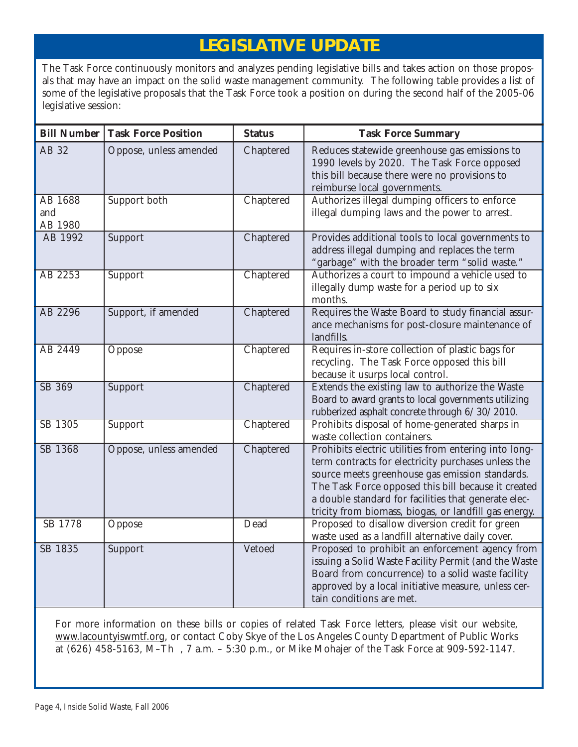#### **LEGISLATIVE UPDATE**

The Task Force continuously monitors and analyzes pending legislative bills and takes action on those proposals that may have an impact on the solid waste management community. The following table provides a list of some of the legislative proposals that the Task Force took a position on during the second half of the 2005-06 legislative session:

| <b>Bill Number</b>        | <b>Task Force Position</b> | <b>Status</b> | <b>Task Force Summary</b>                                                                                                                                                                                                                                                                                                               |
|---------------------------|----------------------------|---------------|-----------------------------------------------------------------------------------------------------------------------------------------------------------------------------------------------------------------------------------------------------------------------------------------------------------------------------------------|
| AB 32                     | Oppose, unless amended     | Chaptered     | Reduces statewide greenhouse gas emissions to<br>1990 levels by 2020. The Task Force opposed<br>this bill because there were no provisions to<br>reimburse local governments.                                                                                                                                                           |
| AB 1688<br>and<br>AB 1980 | Support both               | Chaptered     | Authorizes illegal dumping officers to enforce<br>illegal dumping laws and the power to arrest.                                                                                                                                                                                                                                         |
| AB 1992                   | Support                    | Chaptered     | Provides additional tools to local governments to<br>address illegal dumping and replaces the term<br>"garbage" with the broader term "solid waste."                                                                                                                                                                                    |
| AB 2253                   | Support                    | Chaptered     | Authorizes a court to impound a vehicle used to<br>illegally dump waste for a period up to six<br>months.                                                                                                                                                                                                                               |
| AB 2296                   | Support, if amended        | Chaptered     | Requires the Waste Board to study financial assur-<br>ance mechanisms for post-closure maintenance of<br>landfills.                                                                                                                                                                                                                     |
| AB 2449                   | Oppose                     | Chaptered     | Requires in-store collection of plastic bags for<br>recycling. The Task Force opposed this bill<br>because it usurps local control.                                                                                                                                                                                                     |
| SB 369                    | Support                    | Chaptered     | Extends the existing law to authorize the Waste<br>Board to award grants to local governments utilizing<br>rubberized asphalt concrete through 6/30/2010.                                                                                                                                                                               |
| SB 1305                   | Support                    | Chaptered     | Prohibits disposal of home-generated sharps in<br>waste collection containers.                                                                                                                                                                                                                                                          |
| SB 1368                   | Oppose, unless amended     | Chaptered     | Prohibits electric utilities from entering into long-<br>term contracts for electricity purchases unless the<br>source meets greenhouse gas emission standards.<br>The Task Force opposed this bill because it created<br>a double standard for facilities that generate elec-<br>tricity from biomass, biogas, or landfill gas energy. |
| SB 1778                   | Oppose                     | Dead          | Proposed to disallow diversion credit for green<br>waste used as a landfill alternative daily cover.                                                                                                                                                                                                                                    |
| SB 1835                   | Support                    | Vetoed        | Proposed to prohibit an enforcement agency from<br>issuing a Solid Waste Facility Permit (and the Waste<br>Board from concurrence) to a solid waste facility<br>approved by a local initiative measure, unless cer-<br>tain conditions are met.                                                                                         |

For more information on these bills or copies of related Task Force letters, please visit our website, <www.lacountyiswmtf.org,>or contact Coby Skye of the Los Angeles County Department of Public Works at (626) 458-5163, M–Th , 7 a.m. – 5:30 p.m., or Mike Mohajer of the Task Force at 909-592-1147.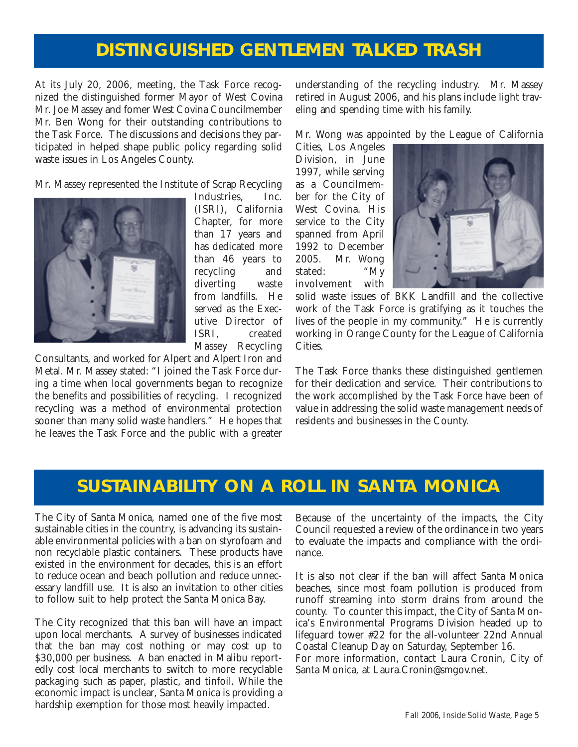#### **DISTINGUISHED GENTLEMEN TALKED TRASH**

At its July 20, 2006, meeting, the Task Force recognized the distinguished former Mayor of West Covina Mr. Joe Massey and fomer West Covina Councilmember Mr. Ben Wong for their outstanding contributions to the Task Force. The discussions and decisions they participated in helped shape public policy regarding solid waste issues in Los Angeles County.

Mr. Massey represented the Institute of Scrap Recycling



Industries, Inc. (ISRI), California Chapter, for more than 17 years and has dedicated more than 46 years to recycling and diverting waste from landfills. He served as the Executive Director of ISRI, created Massey Recycling

Consultants, and worked for Alpert and Alpert Iron and Metal. Mr. Massey stated: "I joined the Task Force during a time when local governments began to recognize the benefits and possibilities of recycling. I recognized recycling was a method of environmental protection sooner than many solid waste handlers." He hopes that he leaves the Task Force and the public with a greater understanding of the recycling industry. Mr. Massey retired in August 2006, and his plans include light traveling and spending time with his family.

Mr. Wong was appointed by the League of California

Cities, Los Angeles Division, in June 1997, while serving as a Councilmember for the City of West Covina. His service to the City spanned from April 1992 to December 2005. Mr. Wong stated: "My involvement with



solid waste issues of BKK Landfill and the collective work of the Task Force is gratifying as it touches the lives of the people in my community." He is currently working in Orange County for the League of California Cities.

The Task Force thanks these distinguished gentlemen for their dedication and service. Their contributions to the work accomplished by the Task Force have been of value in addressing the solid waste management needs of residents and businesses in the County.

#### **SUSTAINABILITY ON A ROLL IN SANTA MONICA**

The City of Santa Monica, named one of the five most sustainable cities in the country, is advancing its sustainable environmental policies with a ban on styrofoam and non recyclable plastic containers. These products have existed in the environment for decades, this is an effort to reduce ocean and beach pollution and reduce unnecessary landfill use. It is also an invitation to other cities to follow suit to help protect the Santa Monica Bay.

The City recognized that this ban will have an impact upon local merchants. A survey of businesses indicated that the ban may cost nothing or may cost up to \$30,000 per business. A ban enacted in Malibu reportedly cost local merchants to switch to more recyclable packaging such as paper, plastic, and tinfoil. While the economic impact is unclear, Santa Monica is providing a hardship exemption for those most heavily impacted.

Because of the uncertainty of the impacts, the City Council requested a review of the ordinance in two years to evaluate the impacts and compliance with the ordinance.

It is also not clear if the ban will affect Santa Monica beaches, since most foam pollution is produced from runoff streaming into storm drains from around the county. To counter this impact, the City of Santa Monica's Environmental Programs Division headed up to lifeguard tower #22 for the all-volunteer 22nd Annual Coastal Cleanup Day on Saturday, September 16.

For more information, contact Laura Cronin, City of Santa Monica, at Laura[.Cronin@smgov.net.](Cronin@smgov.net.)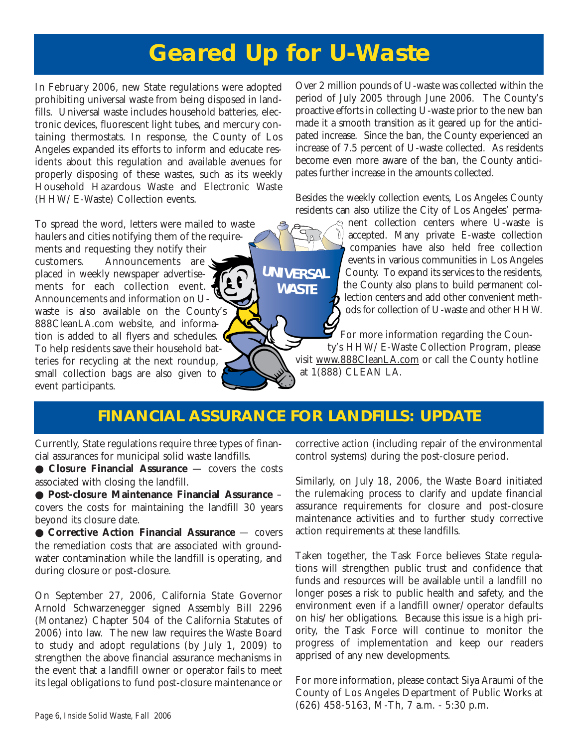# **Geared Up for U-Waste**

In February 2006, new State regulations were adopted prohibiting universal waste from being disposed in landfills. Universal waste includes household batteries, electronic devices, fluorescent light tubes, and mercury containing thermostats. In response, the County of Los Angeles expanded its efforts to inform and educate residents about this regulation and available avenues for properly disposing of these wastes, such as its weekly Household Hazardous Waste and Electronic Waste (HHW/E-Waste) Collection events.

To spread the word, letters were mailed to waste haulers and cities notifying them of the requirements and requesting they notify their customers. Announcements are placed in weekly newspaper advertisements for each collection event. Announcements and information on Uwaste is also available on the County's 888CleanLA.com website, and information is added to all flyers and schedules. To help residents save their household batteries for recycling at the next roundup, small collection bags are also given to event participants.

Over 2 million pounds of U-waste was collected within the period of July 2005 through June 2006. The County's proactive efforts in collecting U-waste prior to the new ban made it a smooth transition as it geared up for the anticipated increase. Since the ban, the County experienced an increase of 7.5 percent of U-waste collected. As residents become even more aware of the ban, the County anticipates further increase in the amounts collected.

Besides the weekly collection events, Los Angeles County residents can also utilize the City of Los Angeles' perma-

nent collection centers where U-waste is accepted. Many private E-waste collection companies have also held free collection events in various communities in Los Angeles County. To expand its services to the residents, the County also plans to build permanent collection centers and add other convenient methods for collection of U-waste and other HHW.

For more information regarding the County's HHW/E-Waste Collection Program, please visit [www.888CleanLA.com](http://ladpw.org/epd/) or call the County hotline at 1(888) CLEAN LA.

#### **FINANCIAL ASSURANCE FOR LANDFILLS: UPDATE**

**WASTE UNIVERSAL**

Currently, State regulations require three types of financial assurances for municipal solid waste landfills.

● **Closure Financial Assurance** — covers the costs associated with closing the landfill.

● **Post-closure Maintenance Financial Assurance** – covers the costs for maintaining the landfill 30 years beyond its closure date.

● **Corrective Action Financial Assurance** — covers the remediation costs that are associated with groundwater contamination while the landfill is operating, and during closure or post-closure.

On September 27, 2006, California State Governor Arnold Schwarzenegger signed Assembly Bill 2296 (Montanez) Chapter 504 of the California Statutes of 2006) into law. The new law requires the Waste Board to study and adopt regulations (by July 1, 2009) to strengthen the above financial assurance mechanisms in the event that a landfill owner or operator fails to meet its legal obligations to fund post-closure maintenance or corrective action (including repair of the environmental control systems) during the post-closure period.

Similarly, on July 18, 2006, the Waste Board initiated the rulemaking process to clarify and update financial assurance requirements for closure and post-closure maintenance activities and to further study corrective action requirements at these landfills.

Taken together, the Task Force believes State regulations will strengthen public trust and confidence that funds and resources will be available until a landfill no longer poses a risk to public health and safety, and the environment even if a landfill owner/operator defaults on his/her obligations. Because this issue is a high priority, the Task Force will continue to monitor the progress of implementation and keep our readers apprised of any new developments.

For more information, please contact Siya Araumi of the County of Los Angeles Department of Public Works at (626) 458-5163, M-Th, 7 a.m. - 5:30 p.m.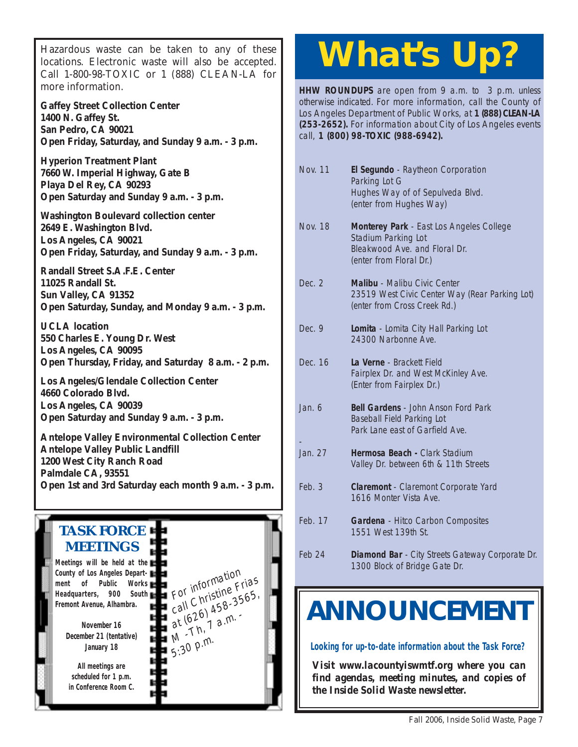Hazardous waste can be taken to any of these locations. Electronic waste will also be accepted. Call 1-800-98-TOXIC or 1 (888) CLEAN-LA for more information.

**Gaffey Street Collection Center 1400 N. Gaffey St. San Pedro, CA 90021 [Open Friday, Saturday, and Sunday 9 a.m. - 3 p.m.](http://www.lacity.org/san/safe-gaffey.htm)**

**Hyperion Treatment Plant 7660 W. Imperial Highway, Gate B Playa Del Rey, CA 90293 [Open Saturday and Sunday 9 a.m. - 3 p.m.](http://www.lacity.org/san/safe-htp.htm)**

**Washington Boulevard collection center 2649 E. Washington Blvd. Los Angeles, CA 90021 [Open Friday, Saturday, and Sunday 9 a.m. - 3 p.m.](http://www.lacity.org/san/safe-washington.htm)**

**Randall Street S.A.F.E. Center 11025 Randall St. Sun Valley, CA 91352 [Open Saturday, Sunday, and Monday 9 a.m. - 3 p.m.](http://www.lacity.org/san/safe-randall.htm)**

**UCLA location 550 Charles E. Young Dr. West Los Angeles, CA 90095 [Open Thursday, Friday, and Saturday 8 a.m. - 2 p.m.](http://www.lacity.org/san/safe-ucla.htm)**

**Los Angeles/Glendale Collection Center 4660 Colorado Blvd. Los Angeles, CA 90039 Open Saturday and Sunday 9 a.m. - 3 p.m.**

**Antelope Valley Environmental Collection Center Antelope Valley Public Landfill 1200 West City Ranch Road Palmdale CA, 93551 [Open 1st and 3rd Saturday each month 9 a.m. - 3 p.m.](http://ladpw.org/epd/avecc/index.cfm)**

#### **TASK FORCE MEETINGS Meetings will be held at the County of Los Angeles Department of Public Works Headquarters, 900 South Fremont Avenue, Alhambra.** For information<br>For information For information Frias<br>call Christine Frias For Christille 3565,<br>call Christille 3565,<br>at (626 1 a.m. at  $6207$  a.m.  $5:30$  p.m. **November 16**

**December 21 (tentative) January 18**

**All meetings are scheduled for 1 p.m. in Conference Room C.**

# **What's Up?**

**HHW ROUNDUPS** are open from 9 a.m. to 3 p.m. unless otherwise indicated. For more information, call the County of Los Angeles Department of Public Works, at **1 (888) CLEAN-LA (253-2652).** For information about City of Los Angeles events call, **1 (800) 98-TOXIC (988-6942).**

| Nov. 11  | El Segundo - Raytheon Corporation<br>Parking Lot G<br>Hughes Way of of Sepulveda Blvd.<br>(enter from Hughes Way)           |
|----------|-----------------------------------------------------------------------------------------------------------------------------|
| Nov. 18  | Monterey Park - East Los Angeles College<br>Stadium Parking Lot<br>Bleakwood Ave, and Floral Dr.<br>(enter from Floral Dr.) |
| Dec. $2$ | Malibu - Malibu Civic Center<br>23519 West Civic Center Way (Rear Parking Lot)<br>(enter from Cross Creek Rd.)              |
| Dec. $9$ | Lomita - Lomita City Hall Parking Lot<br>24300 Narbonne Ave.                                                                |
| Dec. 16  | La Verne - Brackett Field<br>Fairplex Dr. and West McKinley Ave.<br>(Enter from Fairplex Dr.)                               |
| Jan. 6   | <b>Bell Gardens - John Anson Ford Park</b><br><b>Baseball Field Parking Lot</b><br>Park Lane east of Garfield Ave.          |
| Jan. 27  | Hermosa Beach - Clark Stadium<br>Valley Dr. between 6th & 11th Streets                                                      |
| Feb.3    | Claremont - Claremont Corporate Yard<br>1616 Monter Vista Ave.                                                              |

- Feb. 17 **Gardena**  Hitco Carbon Composites 1551 West 139th St.
- Feb 24 **Diamond Bar**  City Streets Gateway Corporate Dr. 1300 Block of Bridge Gate Dr.

# **ANNOUNCEMENT**

**Looking for up-to-date information about the Task Force?**

*Visit www.lacountyiswmtf.org where you can find agendas, meeting minutes, and copies of the Inside Solid Waste newsletter.*